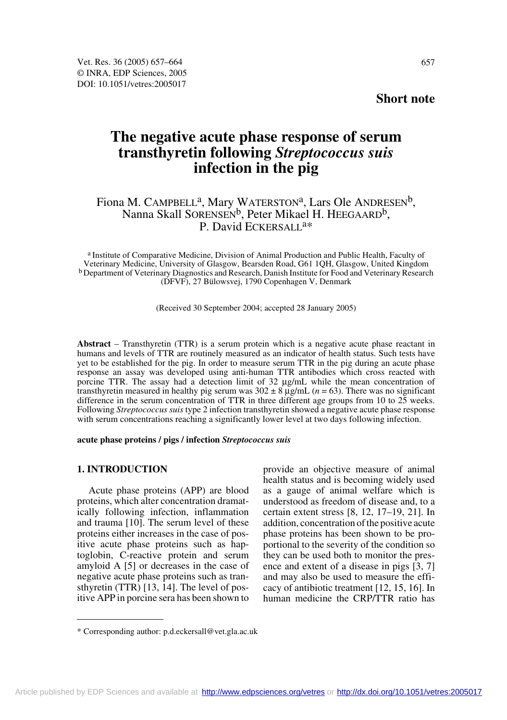# **Short note**

# **The negative acute phase response of serum transthyretin following** *Streptococcus suis* **infection in the pig**

# Fiona M. CAMPBELL<sup>a</sup>, Mary WATERSTON<sup>a</sup>, Lars Ole ANDRESEN<sup>b</sup>, Nanna Skall SORENSEN<sup>b</sup>, Peter Mikael H. HEEGAARD<sup>b</sup>, P. David ECKERSALL<sup>a\*</sup>

a Institute of Comparative Medicine, Division of Animal Production and Public Health, Faculty of Veterinary Medicine, University of Glasgow, Bearsden Road, G61 1QH, Glasgow, United Kingdom b Department of Veterinary Diagnostics and Research, Danish Institute for Food and Veterinary Research (DFVF), 27 Bülowsvej, 1790 Copenhagen V, Denmark

(Received 30 September 2004; accepted 28 January 2005)

**Abstract** – Transthyretin (TTR) is a serum protein which is a negative acute phase reactant in humans and levels of TTR are routinely measured as an indicator of health status. Such tests have yet to be established for the pig. In order to measure serum TTR in the pig during an acute phase response an assay was developed using anti-human TTR antibodies which cross reacted with porcine TTR. The assay had a detection limit of 32 µg/mL while the mean concentration of transthyretin measured in healthy pig serum was  $302 \pm 8 \mu g/mL$  ( $n = 63$ ). There was no significant difference in the serum concentration of TTR in three different age groups from 10 to 25 weeks. Following *Streptococcus suis* type 2 infection transthyretin showed a negative acute phase response with serum concentrations reaching a significantly lower level at two days following infection.

# **acute phase proteins / pigs / infection** *Streptococcus suis*

# **1. INTRODUCTION**

Acute phase proteins (APP) are blood proteins, which alter concentration dramatically following infection, inflammation and trauma [10]. The serum level of these proteins either increases in the case of positive acute phase proteins such as haptoglobin, C-reactive protein and serum amyloid A [5] or decreases in the case of negative acute phase proteins such as transthyretin (TTR) [13, 14]. The level of positive APP in porcine sera has been shown to provide an objective measure of animal health status and is becoming widely used as a gauge of animal welfare which is understood as freedom of disease and, to a certain extent stress [8, 12, 17–19, 21]. In addition, concentration of the positive acute phase proteins has been shown to be proportional to the severity of the condition so they can be used both to monitor the presence and extent of a disease in pigs [3, 7] and may also be used to measure the efficacy of antibiotic treatment [12, 15, 16]. In human medicine the CRP/TTR ratio has

<sup>\*</sup> Corresponding author: p.d.eckersall@vet.gla.ac.uk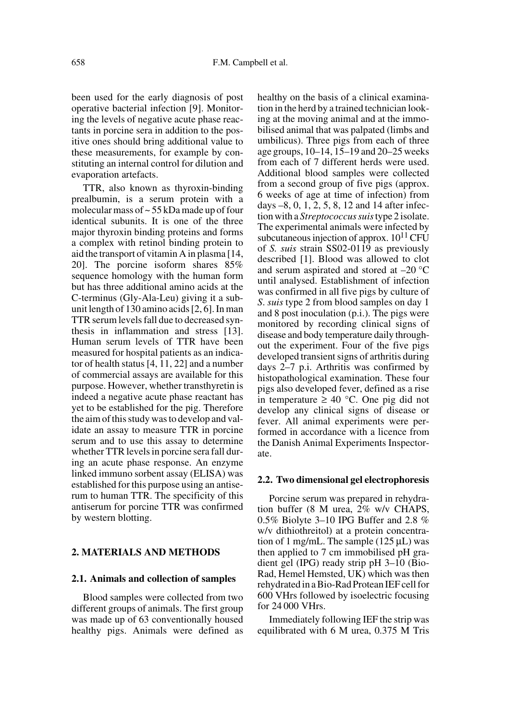been used for the early diagnosis of post operative bacterial infection [9]. Monitoring the levels of negative acute phase reactants in porcine sera in addition to the positive ones should bring additional value to these measurements, for example by constituting an internal control for dilution and evaporation artefacts.

TTR, also known as thyroxin-binding prealbumin, is a serum protein with a molecular mass of ~ 55 kDa made up of four identical subunits. It is one of the three major thyroxin binding proteins and forms a complex with retinol binding protein to aid the transport of vitamin A in plasma [14, 20]. The porcine isoform shares 85% sequence homology with the human form but has three additional amino acids at the C-terminus (Gly-Ala-Leu) giving it a subunit length of 130 amino acids [2, 6]. In man TTR serum levels fall due to decreased synthesis in inflammation and stress [13]. Human serum levels of TTR have been measured for hospital patients as an indicator of health status [4, 11, 22] and a number of commercial assays are available for this purpose. However, whether transthyretin is indeed a negative acute phase reactant has yet to be established for the pig. Therefore the aim of this study was to develop and validate an assay to measure TTR in porcine serum and to use this assay to determine whether TTR levels in porcine sera fall during an acute phase response. An enzyme linked immuno sorbent assay (ELISA) was established for this purpose using an antiserum to human TTR. The specificity of this antiserum for porcine TTR was confirmed by western blotting.

# **2. MATERIALS AND METHODS**

# **2.1. Animals and collection of samples**

Blood samples were collected from two different groups of animals. The first group was made up of 63 conventionally housed healthy pigs. Animals were defined as healthy on the basis of a clinical examination in the herd by a trained technician looking at the moving animal and at the immobilised animal that was palpated (limbs and umbilicus). Three pigs from each of three age groups, 10–14, 15–19 and 20–25 weeks from each of 7 different herds were used. Additional blood samples were collected from a second group of five pigs (approx. 6 weeks of age at time of infection) from days –8, 0, 1, 2, 5, 8, 12 and 14 after infection with a *Streptococcus suis* type 2 isolate. The experimental animals were infected by subcutaneous injection of approx.  $10^{11}$  CFU of *S. suis* strain SS02-0119 as previously described [1]. Blood was allowed to clot and serum aspirated and stored at –20 °C until analysed. Establishment of infection was confirmed in all five pigs by culture of *S*. *suis* type 2 from blood samples on day 1 and 8 post inoculation (p.i.). The pigs were monitored by recording clinical signs of disease and body temperature daily throughout the experiment. Four of the five pigs developed transient signs of arthritis during days 2–7 p.i. Arthritis was confirmed by histopathological examination. These four pigs also developed fever, defined as a rise in temperature ≥ 40 °C. One pig did not develop any clinical signs of disease or fever. All animal experiments were performed in accordance with a licence from the Danish Animal Experiments Inspectorate.

# **2.2. Two dimensional gel electrophoresis**

Porcine serum was prepared in rehydration buffer (8 M urea, 2% w/v CHAPS, 0.5% Biolyte 3–10 IPG Buffer and 2.8 % w/v dithiothreitol) at a protein concentration of 1 mg/mL. The sample  $(125 \mu L)$  was then applied to 7 cm immobilised pH gradient gel (IPG) ready strip pH 3–10 (Bio-Rad, Hemel Hemsted, UK) which was then rehydrated in a Bio-Rad Protean IEF cell for 600 VHrs followed by isoelectric focusing for 24 000 VHrs.

Immediately following IEF the strip was equilibrated with 6 M urea, 0.375 M Tris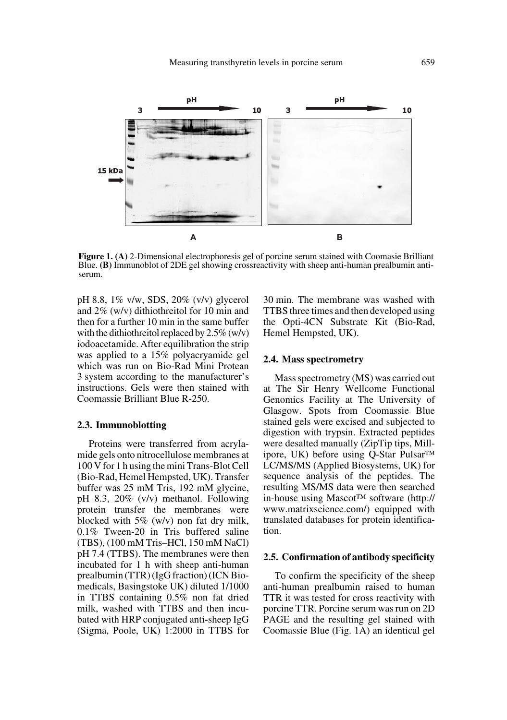

**Figure 1. (A)** 2-Dimensional electrophoresis gel of porcine serum stained with Coomasie Brilliant Blue. **(B)** Immunoblot of 2DE gel showing crossreactivity with sheep anti-human prealbumin anti- serum.

pH 8.8, 1% v/w, SDS, 20% (v/v) glycerol and 2% (w/v) dithiothreitol for 10 min and then for a further 10 min in the same buffer with the dithiothreitol replaced by  $2.5\%$  (w/v) iodoacetamide. After equilibration the strip was applied to a 15% polyacryamide gel which was run on Bio-Rad Mini Protean 3 system according to the manufacturer's instructions. Gels were then stained with Coomassie Brilliant Blue R-250.

# **2.3. Immunoblotting**

Proteins were transferred from acrylamide gels onto nitrocellulose membranes at 100 V for 1 h using the mini Trans-Blot Cell (Bio-Rad, Hemel Hempsted, UK). Transfer buffer was 25 mM Tris, 192 mM glycine, pH 8.3, 20% (v/v) methanol. Following protein transfer the membranes were blocked with 5% (w/v) non fat dry milk, 0.1% Tween-20 in Tris buffered saline (TBS), (100 mM Tris–HCl, 150 mM NaCl) pH 7.4 (TTBS). The membranes were then incubated for 1 h with sheep anti-human prealbumin (TTR) (IgG fraction) (ICN Biomedicals, Basingstoke UK) diluted 1/1000 in TTBS containing 0.5% non fat dried milk, washed with TTBS and then incubated with HRP conjugated anti-sheep IgG (Sigma, Poole, UK) 1:2000 in TTBS for

30 min. The membrane was washed with TTBS three times and then developed using the Opti-4CN Substrate Kit (Bio-Rad, Hemel Hempsted, UK).

#### **2.4. Mass spectrometry**

Mass spectrometry (MS) was carried out at The Sir Henry Wellcome Functional Genomics Facility at The University of Glasgow. Spots from Coomassie Blue stained gels were excised and subjected to digestion with trypsin. Extracted peptides were desalted manually (ZipTip tips, Millipore, UK) before using Q-Star Pulsar™ LC/MS/MS (Applied Biosystems, UK) for sequence analysis of the peptides. The resulting MS/MS data were then searched in-house using Mascot™ software (http:// www.matrixscience.com/) equipped with translated databases for protein identification.

#### **2.5. Confirmation of antibody specificity**

To confirm the specificity of the sheep anti-human prealbumin raised to human TTR it was tested for cross reactivity with porcine TTR. Porcine serum was run on 2D PAGE and the resulting gel stained with Coomassie Blue (Fig. 1A) an identical gel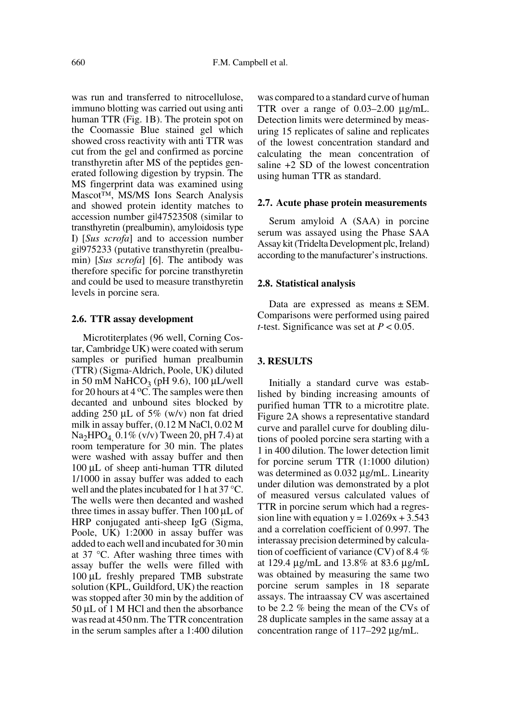was run and transferred to nitrocellulose, immuno blotting was carried out using anti human TTR (Fig. 1B). The protein spot on the Coomassie Blue stained gel which showed cross reactivity with anti TTR was cut from the gel and confirmed as porcine transthyretin after MS of the peptides generated following digestion by trypsin. The MS fingerprint data was examined using Mascot™, MS/MS Ions Search Analysis and showed protein identity matches to accession number gil47523508 (similar to transthyretin (prealbumin), amyloidosis type I) [*Sus scrofa*] and to accession number gi|975233 (putative transthyretin (prealbumin) [*Sus scrofa*] [6]. The antibody was therefore specific for porcine transthyretin and could be used to measure transthyretin levels in porcine sera.

#### **2.6. TTR assay development**

Microtiterplates (96 well, Corning Costar, Cambridge UK) were coated with serum samples or purified human prealbumin (TTR) (Sigma-Aldrich, Poole, UK) diluted in 50 mM NaHCO<sub>3</sub> (pH 9.6), 100  $\mu$ L/well for 20 hours at  $4^{\circ}$ C. The samples were then decanted and unbound sites blocked by adding  $250 \mu L$  of  $5\%$  (w/v) non fat dried milk in assay buffer, (0.12 M NaCl, 0.02 M  $Na<sub>2</sub>HPO<sub>4</sub>$  0.1% (v/v) Tween 20, pH 7.4) at room temperature for 30 min. The plates were washed with assay buffer and then 100 µL of sheep anti-human TTR diluted 1/1000 in assay buffer was added to each well and the plates incubated for 1 h at 37 °C. The wells were then decanted and washed three times in assay buffer. Then 100 µL of HRP conjugated anti-sheep IgG (Sigma, Poole, UK) 1:2000 in assay buffer was added to each well and incubated for 30 min at 37 °C. After washing three times with assay buffer the wells were filled with 100 µL freshly prepared TMB substrate solution (KPL, Guildford, UK) the reaction was stopped after 30 min by the addition of 50 µL of 1 M HCl and then the absorbance was read at 450 nm. The TTR concentration in the serum samples after a 1:400 dilution

was compared to a standard curve of human TTR over a range of 0.03–2.00 µg/mL. Detection limits were determined by measuring 15 replicates of saline and replicates of the lowest concentration standard and calculating the mean concentration of saline +2 SD of the lowest concentration using human TTR as standard.

#### **2.7. Acute phase protein measurements**

Serum amyloid A (SAA) in porcine serum was assayed using the Phase SAA Assay kit (Tridelta Development plc, Ireland) according to the manufacturer's instructions.

#### **2.8. Statistical analysis**

Data are expressed as means  $\pm$  SEM. Comparisons were performed using paired *t*-test. Significance was set at *P* < 0.05.

# **3. RESULTS**

Initially a standard curve was established by binding increasing amounts of purified human TTR to a microtitre plate. Figure 2A shows a representative standard curve and parallel curve for doubling dilutions of pooled porcine sera starting with a 1 in 400 dilution. The lower detection limit for porcine serum TTR (1:1000 dilution) was determined as 0.032  $\mu$ g/mL. Linearity under dilution was demonstrated by a plot of measured versus calculated values of TTR in porcine serum which had a regression line with equation  $y = 1.0269x + 3.543$ and a correlation coefficient of 0.997. The interassay precision determined by calculation of coefficient of variance (CV) of 8.4 % at 129.4 µg/mL and 13.8% at 83.6 µg/mL was obtained by measuring the same two porcine serum samples in 18 separate assays. The intraassay CV was ascertained to be 2.2 % being the mean of the CVs of 28 duplicate samples in the same assay at a concentration range of 117–292 µg/mL.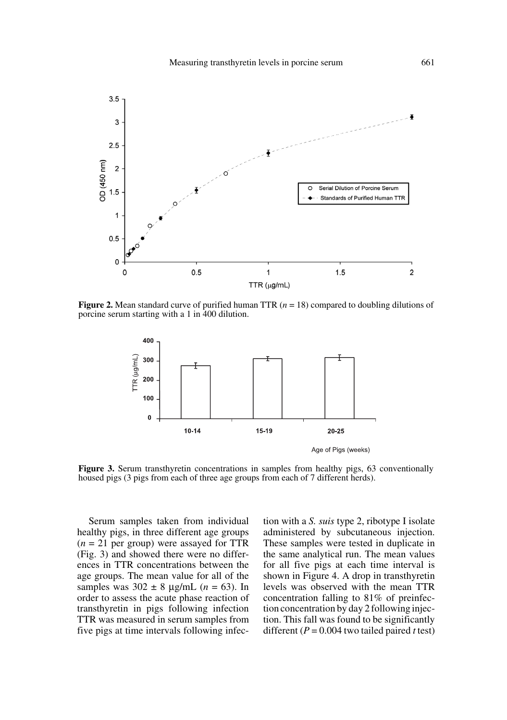

**Figure 2.** Mean standard curve of purified human TTR ( $n = 18$ ) compared to doubling dilutions of porcine serum starting with a 1 in 400 dilution.



Figure 3. Serum transthyretin concentrations in samples from healthy pigs, 63 conventionally housed pigs (3 pigs from each of three age groups from each of 7 different herds).

Serum samples taken from individual healthy pigs, in three different age groups  $(n = 21$  per group) were assayed for TTR (Fig. 3) and showed there were no differences in TTR concentrations between the age groups. The mean value for all of the samples was  $302 \pm 8$  µg/mL ( $n = 63$ ). In order to assess the acute phase reaction of transthyretin in pigs following infection TTR was measured in serum samples from five pigs at time intervals following infection with a *S. suis* type 2, ribotype I isolate administered by subcutaneous injection. These samples were tested in duplicate in the same analytical run. The mean values for all five pigs at each time interval is shown in Figure 4. A drop in transthyretin levels was observed with the mean TTR concentration falling to 81% of preinfection concentration by day 2 following injection. This fall was found to be significantly different (*P* = 0.004 two tailed paired *t* test)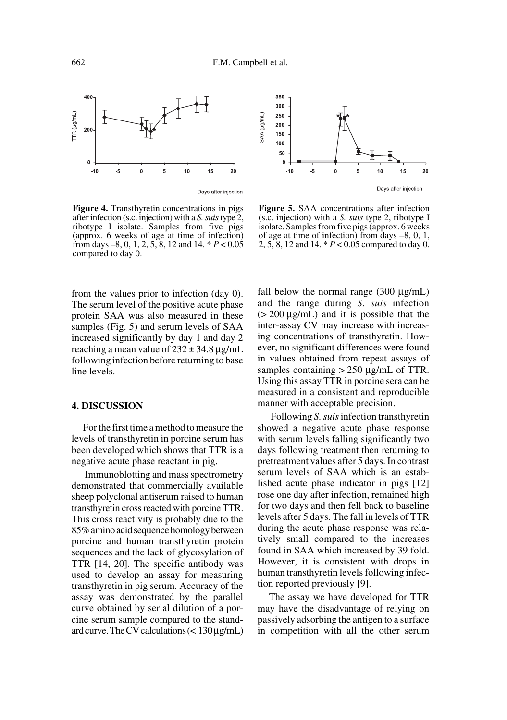



**Figure 4.** Transthyretin concentrations in pigs after infection (s.c. injection) with a *S. suis* type 2, ribotype I isolate. Samples from five pigs (approx. 6 weeks of age at time of infection) from days –8, 0, 1, 2, 5, 8, 12 and 14. \* *P* < 0.05 compared to day 0.

from the values prior to infection (day 0). The serum level of the positive acute phase protein SAA was also measured in these samples (Fig. 5) and serum levels of SAA increased significantly by day 1 and day 2 reaching a mean value of  $232 \pm 34.8 \,\mu$ g/mL following infection before returning to base line levels.

# **4. DISCUSSION**

For the first time a method to measure the levels of transthyretin in porcine serum has been developed which shows that TTR is a negative acute phase reactant in pig.

 Immunoblotting and mass spectrometry demonstrated that commercially available sheep polyclonal antiserum raised to human transthyretin cross reacted with porcine TTR. This cross reactivity is probably due to the 85% amino acid sequence homology between porcine and human transthyretin protein sequences and the lack of glycosylation of TTR [14, 20]. The specific antibody was used to develop an assay for measuring transthyretin in pig serum. Accuracy of the assay was demonstrated by the parallel curve obtained by serial dilution of a porcine serum sample compared to the standard curve. The CV calculations  $(< 130 \,\mu\text{g/mL})$ 

**Figure 5.** SAA concentrations after infection (s.c. injection) with a *S. suis* type 2, ribotype I isolate. Samples from five pigs (approx. 6 weeks of age at time of infection) from days –8, 0, 1, 2, 5, 8, 12 and 14. \* *P* < 0.05 compared to day 0.

fall below the normal range  $(300 \mu g/mL)$ and the range during *S*. *suis* infection  $(> 200 \mu g/mL)$  and it is possible that the inter-assay CV may increase with increasing concentrations of transthyretin. However, no significant differences were found in values obtained from repeat assays of samples containing  $> 250 \mu g/mL$  of TTR. Using this assay TTR in porcine sera can be measured in a consistent and reproducible manner with acceptable precision.

 Following *S. suis* infection transthyretin showed a negative acute phase response with serum levels falling significantly two days following treatment then returning to pretreatment values after 5 days. In contrast serum levels of SAA which is an established acute phase indicator in pigs [12] rose one day after infection, remained high for two days and then fell back to baseline levels after 5 days. The fall in levels of TTR during the acute phase response was relatively small compared to the increases found in SAA which increased by 39 fold. However, it is consistent with drops in human transthyretin levels following infection reported previously [9].

The assay we have developed for TTR may have the disadvantage of relying on passively adsorbing the antigen to a surface in competition with all the other serum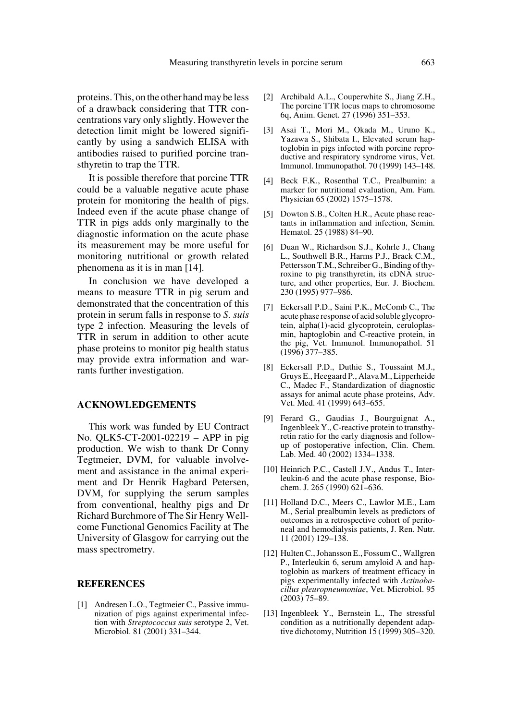proteins. This, on the other hand may be less of a drawback considering that TTR concentrations vary only slightly. However the detection limit might be lowered significantly by using a sandwich ELISA with antibodies raised to purified porcine transthyretin to trap the TTR.

It is possible therefore that porcine TTR could be a valuable negative acute phase protein for monitoring the health of pigs. Indeed even if the acute phase change of TTR in pigs adds only marginally to the diagnostic information on the acute phase its measurement may be more useful for monitoring nutritional or growth related phenomena as it is in man [14].

In conclusion we have developed a means to measure TTR in pig serum and demonstrated that the concentration of this protein in serum falls in response to *S. suis* type 2 infection. Measuring the levels of TTR in serum in addition to other acute phase proteins to monitor pig health status may provide extra information and warrants further investigation.

#### **ACKNOWLEDGEMENTS**

This work was funded by EU Contract No. QLK5-CT-2001-02219 – APP in pig production. We wish to thank Dr Conny Tegtmeier, DVM, for valuable involvement and assistance in the animal experiment and Dr Henrik Hagbard Petersen, DVM, for supplying the serum samples from conventional, healthy pigs and Dr Richard Burchmore of The Sir Henry Wellcome Functional Genomics Facility at The University of Glasgow for carrying out the mass spectrometry.

#### **REFERENCES**

[1] Andresen L.O., Tegtmeier C., Passive immunization of pigs against experimental infection with *Streptococcus suis* serotype 2, Vet. Microbiol. 81 (2001) 331–344.

- [2] Archibald A.L., Couperwhite S., Jiang Z.H., The porcine TTR locus maps to chromosome 6q, Anim. Genet. 27 (1996) 351–353.
- [3] Asai T., Mori M., Okada M., Uruno K., Yazawa S., Shibata I., Elevated serum haptoglobin in pigs infected with porcine reproductive and respiratory syndrome virus, Vet. Immunol. Immunopathol. 70 (1999) 143–148.
- [4] Beck F.K., Rosenthal T.C., Prealbumin: a marker for nutritional evaluation, Am. Fam. Physician 65 (2002) 1575–1578.
- [5] Dowton S.B., Colten H.R., Acute phase reactants in inflammation and infection, Semin. Hematol. 25 (1988) 84–90.
- [6] Duan W., Richardson S.J., Kohrle J., Chang L., Southwell B.R., Harms P.J., Brack C.M., Pettersson T.M., Schreiber G., Binding of thyroxine to pig transthyretin, its cDNA structure, and other properties, Eur. J. Biochem. 230 (1995) 977–986.
- [7] Eckersall P.D., Saini P.K., McComb C., The acute phase response of acid soluble glycoprotein, alpha(1)-acid glycoprotein, ceruloplasmin, haptoglobin and C-reactive protein, in the pig, Vet. Immunol. Immunopathol. 51 (1996) 377–385.
- [8] Eckersall P.D., Duthie S., Toussaint M.J., Gruys E., Heegaard P., Alava M., Lipperheide C., Madec F., Standardization of diagnostic assays for animal acute phase proteins, Adv. Vet. Med. 41 (1999) 643–655.
- [9] Ferard G., Gaudias J., Bourguignat A., Ingenbleek Y., C-reactive protein to transthyretin ratio for the early diagnosis and followup of postoperative infection, Clin. Chem. Lab. Med. 40 (2002) 1334–1338.
- [10] Heinrich P.C., Castell J.V., Andus T., Interleukin-6 and the acute phase response, Biochem. J. 265 (1990) 621–636.
- [11] Holland D.C., Meers C., Lawlor M.E., Lam M., Serial prealbumin levels as predictors of outcomes in a retrospective cohort of peritoneal and hemodialysis patients, J. Ren. Nutr. 11 (2001) 129–138.
- [12] Hulten C., Johansson E., Fossum C., Wallgren P., Interleukin 6, serum amyloid A and haptoglobin as markers of treatment efficacy in pigs experimentally infected with *Actinobacillus pleuropneumoniae*, Vet. Microbiol. 95  $(2003)$  75–89.
- [13] Ingenbleek Y., Bernstein L., The stressful condition as a nutritionally dependent adaptive dichotomy, Nutrition 15 (1999) 305–320.